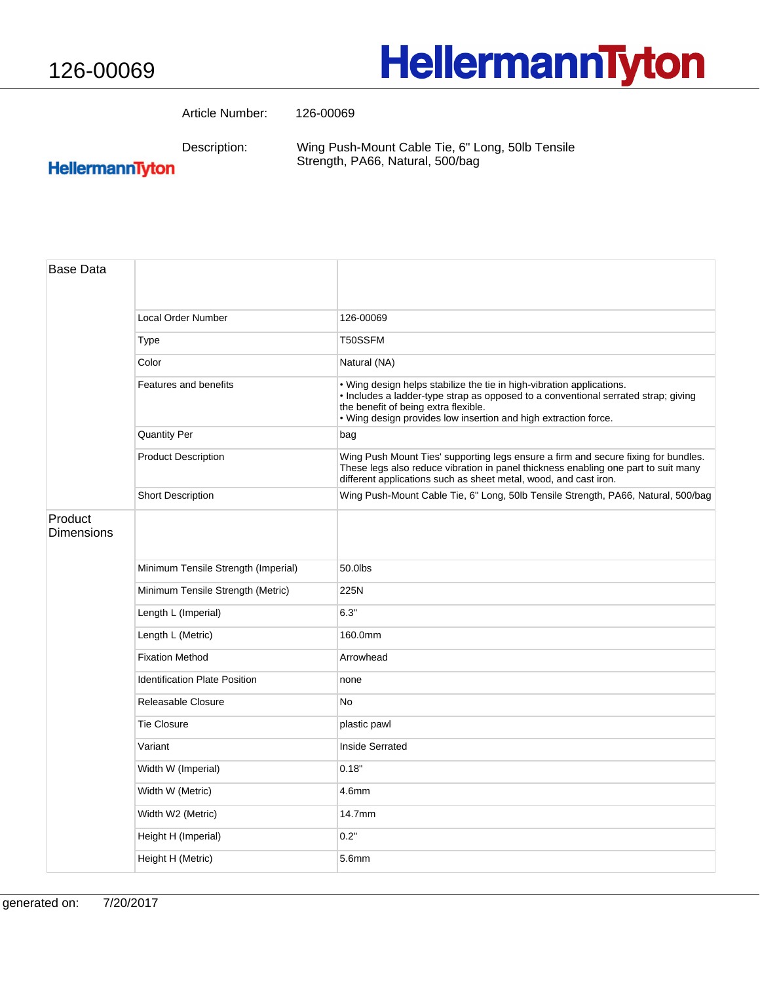## **HellermannTyton**

Article Number: 126-00069

Description:

Wing Push-Mount Cable Tie, 6" Long, 50lb Tensile Strength, PA66, Natural, 500/bag

## HellermannTyton

| <b>Base Data</b>             |                                      |                                                                                                                                                                                                                                                                        |
|------------------------------|--------------------------------------|------------------------------------------------------------------------------------------------------------------------------------------------------------------------------------------------------------------------------------------------------------------------|
|                              | Local Order Number                   | 126-00069                                                                                                                                                                                                                                                              |
|                              | <b>Type</b>                          | T50SSFM                                                                                                                                                                                                                                                                |
|                              | Color                                | Natural (NA)                                                                                                                                                                                                                                                           |
|                              | Features and benefits                | . Wing design helps stabilize the tie in high-vibration applications.<br>. Includes a ladder-type strap as opposed to a conventional serrated strap; giving<br>the benefit of being extra flexible.<br>. Wing design provides low insertion and high extraction force. |
|                              | <b>Quantity Per</b>                  | bag                                                                                                                                                                                                                                                                    |
|                              | <b>Product Description</b>           | Wing Push Mount Ties' supporting legs ensure a firm and secure fixing for bundles.<br>These legs also reduce vibration in panel thickness enabling one part to suit many<br>different applications such as sheet metal, wood, and cast iron.                           |
|                              | <b>Short Description</b>             | Wing Push-Mount Cable Tie, 6" Long, 50lb Tensile Strength, PA66, Natural, 500/bag                                                                                                                                                                                      |
| Product<br><b>Dimensions</b> |                                      |                                                                                                                                                                                                                                                                        |
|                              | Minimum Tensile Strength (Imperial)  | 50.0lbs                                                                                                                                                                                                                                                                |
|                              | Minimum Tensile Strength (Metric)    | 225N                                                                                                                                                                                                                                                                   |
|                              | Length L (Imperial)                  | 6.3"                                                                                                                                                                                                                                                                   |
|                              | Length L (Metric)                    | 160.0mm                                                                                                                                                                                                                                                                |
|                              | <b>Fixation Method</b>               | Arrowhead                                                                                                                                                                                                                                                              |
|                              | <b>Identification Plate Position</b> | none                                                                                                                                                                                                                                                                   |
|                              | Releasable Closure                   | No                                                                                                                                                                                                                                                                     |
|                              | <b>Tie Closure</b>                   | plastic pawl                                                                                                                                                                                                                                                           |
|                              | Variant                              | Inside Serrated                                                                                                                                                                                                                                                        |
|                              | Width W (Imperial)                   | 0.18"                                                                                                                                                                                                                                                                  |
|                              | Width W (Metric)                     | 4.6mm                                                                                                                                                                                                                                                                  |
|                              | Width W2 (Metric)                    | 14.7mm                                                                                                                                                                                                                                                                 |
|                              | Height H (Imperial)                  | 0.2"                                                                                                                                                                                                                                                                   |
|                              | Height H (Metric)                    | 5.6mm                                                                                                                                                                                                                                                                  |
|                              |                                      |                                                                                                                                                                                                                                                                        |